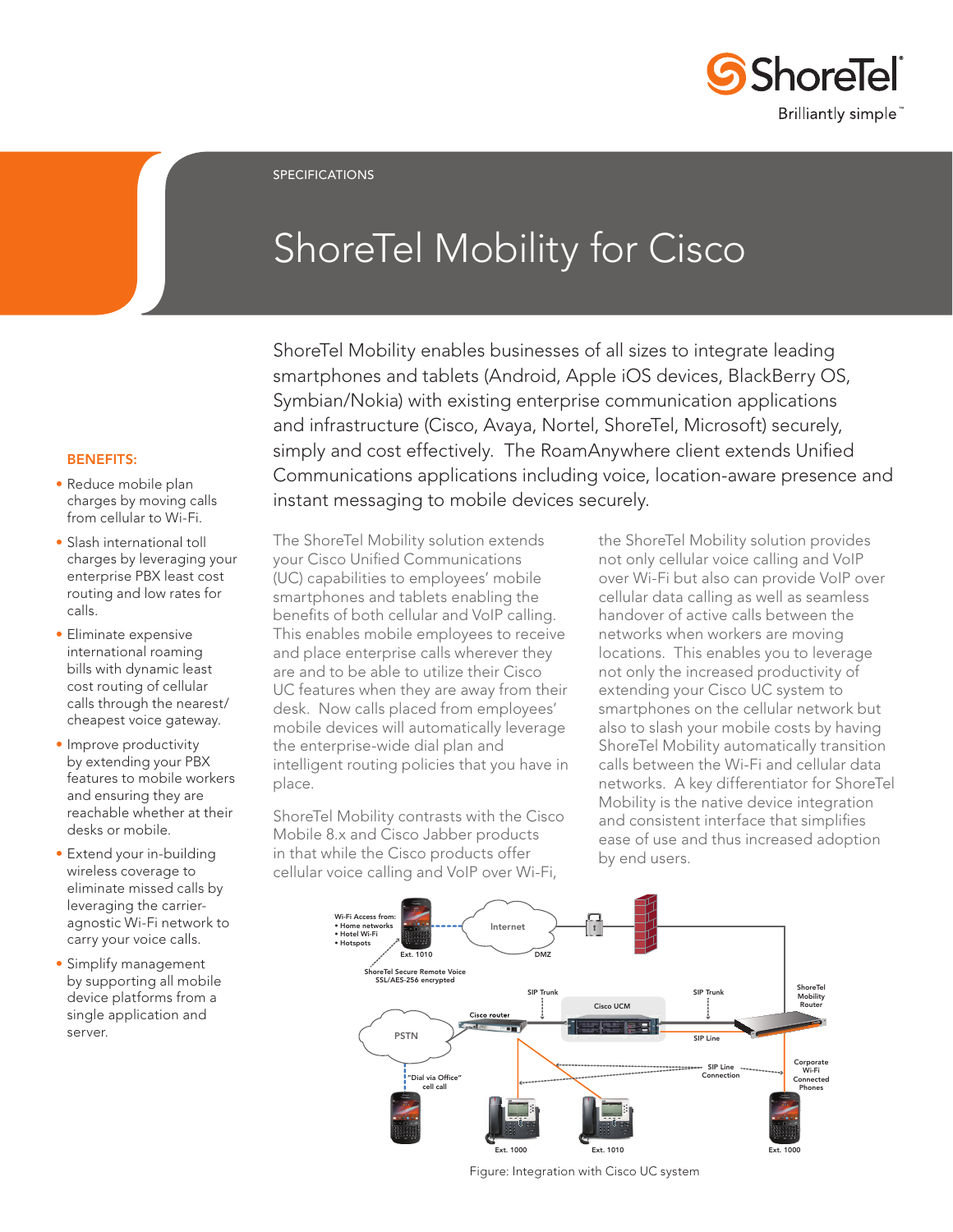

SPECIFICATIONS

# ShoreTel Mobility for Cisco

ShoreTel Mobility enables businesses of all sizes to integrate leading smartphones and tablets (Android, Apple iOS devices, BlackBerry OS, Symbian/Nokia) with existing enterprise communication applications and infrastructure (Cisco, Avaya, Nortel, ShoreTel, Microsoft) securely, simply and cost effectively. The RoamAnywhere client extends Unified Communications applications including voice, location-aware presence and instant messaging to mobile devices securely.

#### BENEFITS:

- Reduce mobile plan charges by moving calls from cellular to Wi-Fi.
- Slash international toll charges by leveraging your enterprise PBX least cost routing and low rates for calls.
- Eliminate expensive international roaming bills with dynamic least cost routing of cellular calls through the nearest/ cheapest voice gateway.
- Improve productivity by extending your PBX features to mobile workers and ensuring they are reachable whether at their desks or mobile.
- Extend your in-building wireless coverage to eliminate missed calls by leveraging the carrieragnostic Wi-Fi network to carry your voice calls.
- Simplify management by supporting all mobile device platforms from a single application and server.

The ShoreTel Mobility solution extends your Cisco Unified Communications (UC) capabilities to employees' mobile smartphones and tablets enabling the benefits of both cellular and VoIP calling. This enables mobile employees to receive and place enterprise calls wherever they are and to be able to utilize their Cisco UC features when they are away from their desk. Now calls placed from employees' mobile devices will automatically leverage the enterprise-wide dial plan and intelligent routing policies that you have in place.

ShoreTel Mobility contrasts with the Cisco Mobile 8.x and Cisco Jabber products in that while the Cisco products offer cellular voice calling and VoIP over Wi-Fi,

the ShoreTel Mobility solution provides not only cellular voice calling and VoIP over Wi-Fi but also can provide VoIP over cellular data calling as well as seamless handover of active calls between the networks when workers are moving locations. This enables you to leverage not only the increased productivity of extending your Cisco UC system to smartphones on the cellular network but also to slash your mobile costs by having ShoreTel Mobility automatically transition calls between the Wi-Fi and cellular data networks. A key differentiator for ShoreTel Mobility is the native device integration and consistent interface that simplifies ease of use and thus increased adoption by end users.



Figure: Integration with Cisco UC system